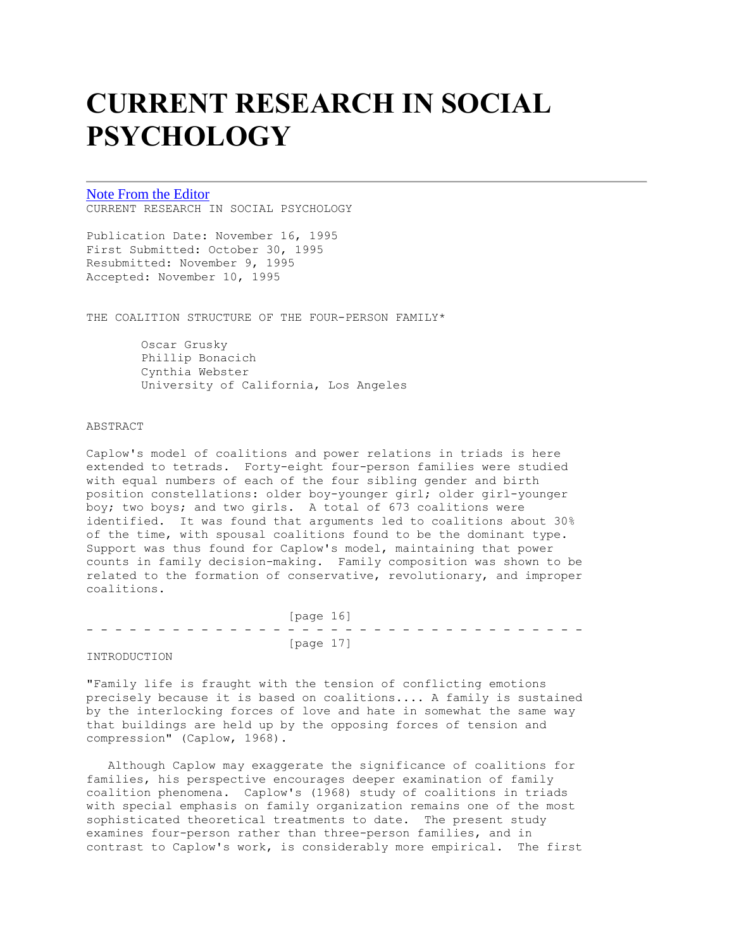# **CURRENT RESEARCH IN SOCIAL PSYCHOLOGY**

[Note From the Editor](http://www.uiowa.edu/~grpproc/crisp/crisp.ednote.1.3.html) CURRENT RESEARCH IN SOCIAL PSYCHOLOGY

Publication Date: November 16, 1995 First Submitted: October 30, 1995 Resubmitted: November 9, 1995 Accepted: November 10, 1995

THE COALITION STRUCTURE OF THE FOUR-PERSON FAMILY\*

Oscar Grusky Phillip Bonacich Cynthia Webster University of California, Los Angeles

# ABSTRACT

Caplow's model of coalitions and power relations in triads is here extended to tetrads. Forty-eight four-person families were studied with equal numbers of each of the four sibling gender and birth position constellations: older boy-younger girl; older girl-younger boy; two boys; and two girls. A total of 673 coalitions were identified. It was found that arguments led to coalitions about 30% of the time, with spousal coalitions found to be the dominant type. Support was thus found for Caplow's model, maintaining that power counts in family decision-making. Family composition was shown to be related to the formation of conservative, revolutionary, and improper coalitions.

 [page 16] - - - - - - - - - - - - - - - - - - - - - - - - - - - - - - - - - - - [page 17]

INTRODUCTION

"Family life is fraught with the tension of conflicting emotions precisely because it is based on coalitions.... A family is sustained by the interlocking forces of love and hate in somewhat the same way that buildings are held up by the opposing forces of tension and compression" (Caplow, 1968).

 Although Caplow may exaggerate the significance of coalitions for families, his perspective encourages deeper examination of family coalition phenomena. Caplow's (1968) study of coalitions in triads with special emphasis on family organization remains one of the most sophisticated theoretical treatments to date. The present study examines four-person rather than three-person families, and in contrast to Caplow's work, is considerably more empirical. The first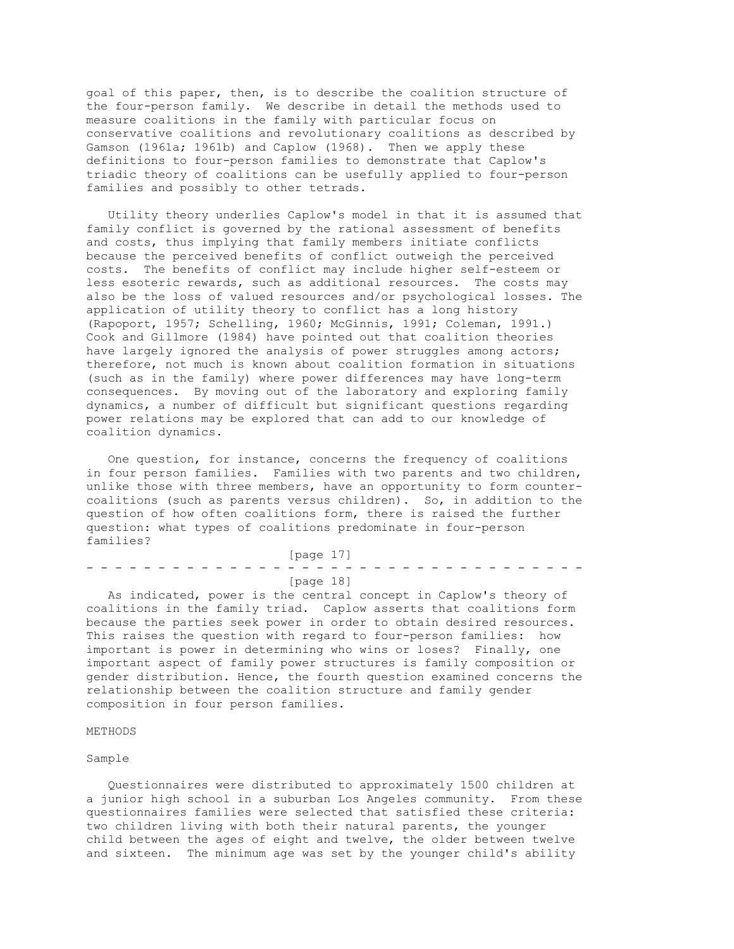goal of this paper, then, is to describe the coalition structure of the four-person family. We describe in detail the methods used to measure coalitions in the family with particular focus on conservative coalitions and revolutionary coalitions as described by Gamson (1961a; 1961b) and Caplow (1968). Then we apply these definitions to four-person families to demonstrate that Caplow's triadic theory of coalitions can be usefully applied to four-person families and possibly to other tetrads.

 Utility theory underlies Caplow's model in that it is assumed that family conflict is governed by the rational assessment of benefits and costs, thus implying that family members initiate conflicts because the perceived benefits of conflict outweigh the perceived costs. The benefits of conflict may include higher self-esteem or less esoteric rewards, such as additional resources. The costs may also be the loss of valued resources and/or psychological losses. The application of utility theory to conflict has a long history (Rapoport, 1957; Schelling, 1960; McGinnis, 1991; Coleman, 1991.) Cook and Gillmore (1984) have pointed out that coalition theories have largely ignored the analysis of power struggles among actors; therefore, not much is known about coalition formation in situations (such as in the family) where power differences may have long-term consequences. By moving out of the laboratory and exploring family dynamics, a number of difficult but significant questions regarding power relations may be explored that can add to our knowledge of coalition dynamics.

 One question, for instance, concerns the frequency of coalitions in four person families. Families with two parents and two children, unlike those with three members, have an opportunity to form countercoalitions (such as parents versus children). So, in addition to the question of how often coalitions form, there is raised the further question: what types of coalitions predominate in four-person families?

 [page 17] - - - - - - - - - - - - - - - - - - - - - - - - - - - - - - - - - - - [page 18]

 As indicated, power is the central concept in Caplow's theory of coalitions in the family triad. Caplow asserts that coalitions form because the parties seek power in order to obtain desired resources. This raises the question with regard to four-person families: how important is power in determining who wins or loses? Finally, one important aspect of family power structures is family composition or gender distribution. Hence, the fourth question examined concerns the relationship between the coalition structure and family gender composition in four person families.

## METHODS

### Sample

 Questionnaires were distributed to approximately 1500 children at a junior high school in a suburban Los Angeles community. From these questionnaires families were selected that satisfied these criteria: two children living with both their natural parents, the younger child between the ages of eight and twelve, the older between twelve and sixteen. The minimum age was set by the younger child's ability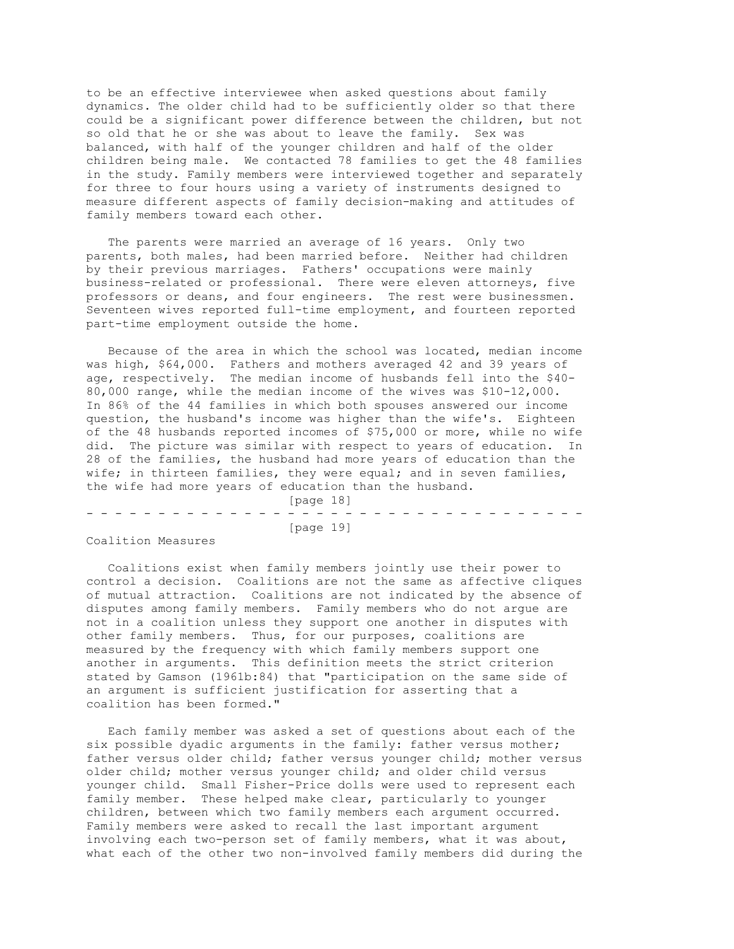to be an effective interviewee when asked questions about family dynamics. The older child had to be sufficiently older so that there could be a significant power difference between the children, but not so old that he or she was about to leave the family. Sex was balanced, with half of the younger children and half of the older children being male. We contacted 78 families to get the 48 families in the study. Family members were interviewed together and separately for three to four hours using a variety of instruments designed to measure different aspects of family decision-making and attitudes of family members toward each other.

 The parents were married an average of 16 years. Only two parents, both males, had been married before. Neither had children by their previous marriages. Fathers' occupations were mainly business-related or professional. There were eleven attorneys, five professors or deans, and four engineers. The rest were businessmen. Seventeen wives reported full-time employment, and fourteen reported part-time employment outside the home.

 Because of the area in which the school was located, median income was high, \$64,000. Fathers and mothers averaged 42 and 39 years of age, respectively. The median income of husbands fell into the \$40- 80,000 range, while the median income of the wives was \$10-12,000. In 86% of the 44 families in which both spouses answered our income question, the husband's income was higher than the wife's. Eighteen of the 48 husbands reported incomes of \$75,000 or more, while no wife did. The picture was similar with respect to years of education. In 28 of the families, the husband had more years of education than the wife; in thirteen families, they were equal; and in seven families, the wife had more years of education than the husband.

 [page 18] - - - - - - - - - - - - - - - - - - - - - - - - - - - - - - - - - - - [page 19]

Coalition Measures

 Coalitions exist when family members jointly use their power to control a decision. Coalitions are not the same as affective cliques of mutual attraction. Coalitions are not indicated by the absence of disputes among family members. Family members who do not argue are not in a coalition unless they support one another in disputes with other family members. Thus, for our purposes, coalitions are measured by the frequency with which family members support one another in arguments. This definition meets the strict criterion stated by Gamson (1961b:84) that "participation on the same side of an argument is sufficient justification for asserting that a coalition has been formed."

 Each family member was asked a set of questions about each of the six possible dyadic arguments in the family: father versus mother; father versus older child; father versus younger child; mother versus older child; mother versus younger child; and older child versus younger child. Small Fisher-Price dolls were used to represent each family member. These helped make clear, particularly to younger children, between which two family members each argument occurred. Family members were asked to recall the last important argument involving each two-person set of family members, what it was about, what each of the other two non-involved family members did during the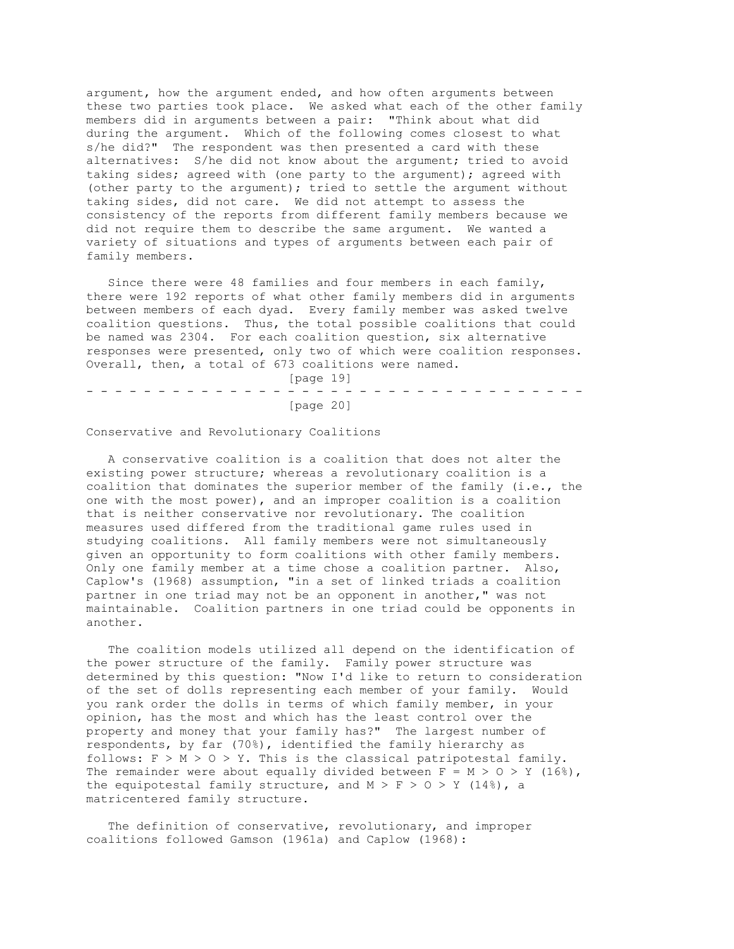argument, how the argument ended, and how often arguments between these two parties took place. We asked what each of the other family members did in arguments between a pair: "Think about what did during the argument. Which of the following comes closest to what s/he did?" The respondent was then presented a card with these alternatives: S/he did not know about the argument; tried to avoid taking sides; agreed with (one party to the argument); agreed with (other party to the argument); tried to settle the argument without taking sides, did not care. We did not attempt to assess the consistency of the reports from different family members because we did not require them to describe the same argument. We wanted a variety of situations and types of arguments between each pair of family members.

 Since there were 48 families and four members in each family, there were 192 reports of what other family members did in arguments between members of each dyad. Every family member was asked twelve coalition questions. Thus, the total possible coalitions that could be named was 2304. For each coalition question, six alternative responses were presented, only two of which were coalition responses. Overall, then, a total of 673 coalitions were named.

 [page 19] - - - - - - - - - - - - - - - - - - - - - - - - - - - - - - - - - - - [page 20]

Conservative and Revolutionary Coalitions

 A conservative coalition is a coalition that does not alter the existing power structure; whereas a revolutionary coalition is a coalition that dominates the superior member of the family (i.e., the one with the most power), and an improper coalition is a coalition that is neither conservative nor revolutionary. The coalition measures used differed from the traditional game rules used in studying coalitions. All family members were not simultaneously given an opportunity to form coalitions with other family members. Only one family member at a time chose a coalition partner. Also, Caplow's (1968) assumption, "in a set of linked triads a coalition partner in one triad may not be an opponent in another," was not maintainable. Coalition partners in one triad could be opponents in another.

 The coalition models utilized all depend on the identification of the power structure of the family. Family power structure was determined by this question: "Now I'd like to return to consideration of the set of dolls representing each member of your family. Would you rank order the dolls in terms of which family member, in your opinion, has the most and which has the least control over the property and money that your family has?" The largest number of respondents, by far (70%), identified the family hierarchy as follows:  $F > M > 0 > Y$ . This is the classical patripotestal family. The remainder were about equally divided between  $F = M > 0 > Y$  (16%), the equipotestal family structure, and  $M > F > 0 > Y$  (14%), a matricentered family structure.

 The definition of conservative, revolutionary, and improper coalitions followed Gamson (1961a) and Caplow (1968):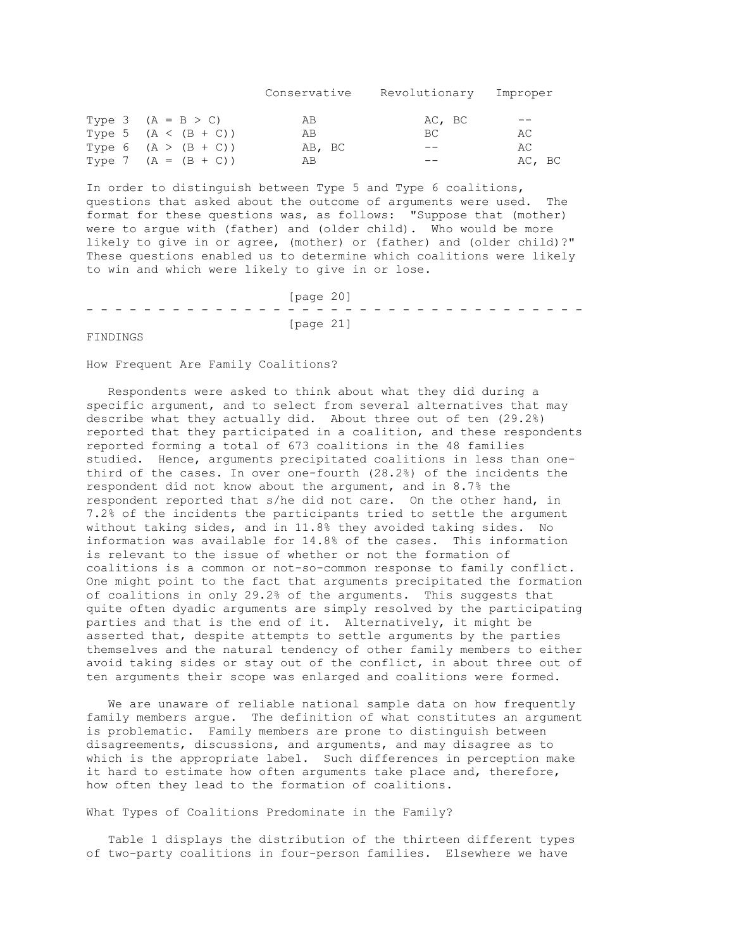Conservative Revolutionary Improper Type 3 ( $A = B > C$ ) AB AC, BC --<br>Type 5 ( $A < (B + C)$ ) AB BC AC Type 5  $(A \lt (B + C))$ <br>
Type 6  $(A \gt (B + C))$ <br>  $AB$ , BC<br>  $-C$ <br>  $-C$ <br>  $AC$ Type 6  $(A > (B + C))$  AB, BC -- AC Type 7  $(A = (B + C))$  AB  $---$  AC, BC

In order to distinguish between Type 5 and Type 6 coalitions, questions that asked about the outcome of arguments were used. The format for these questions was, as follows: "Suppose that (mother) were to argue with (father) and (older child). Who would be more likely to give in or agree, (mother) or (father) and (older child)?" These questions enabled us to determine which coalitions were likely to win and which were likely to give in or lose.

 [page 20] - - - - - - - - - - - - - - - - - - - - - - - - - - - - - - - - - - - [page 21]

FINDINGS

How Frequent Are Family Coalitions?

 Respondents were asked to think about what they did during a specific argument, and to select from several alternatives that may describe what they actually did. About three out of ten (29.2%) reported that they participated in a coalition, and these respondents reported forming a total of 673 coalitions in the 48 families studied. Hence, arguments precipitated coalitions in less than onethird of the cases. In over one-fourth (28.2%) of the incidents the respondent did not know about the argument, and in 8.7% the respondent reported that s/he did not care. On the other hand, in 7.2% of the incidents the participants tried to settle the argument without taking sides, and in 11.8% they avoided taking sides. No information was available for 14.8% of the cases. This information is relevant to the issue of whether or not the formation of coalitions is a common or not-so-common response to family conflict. One might point to the fact that arguments precipitated the formation of coalitions in only 29.2% of the arguments. This suggests that quite often dyadic arguments are simply resolved by the participating parties and that is the end of it. Alternatively, it might be asserted that, despite attempts to settle arguments by the parties themselves and the natural tendency of other family members to either avoid taking sides or stay out of the conflict, in about three out of ten arguments their scope was enlarged and coalitions were formed.

 We are unaware of reliable national sample data on how frequently family members argue. The definition of what constitutes an argument is problematic. Family members are prone to distinguish between disagreements, discussions, and arguments, and may disagree as to which is the appropriate label. Such differences in perception make it hard to estimate how often arguments take place and, therefore, how often they lead to the formation of coalitions.

What Types of Coalitions Predominate in the Family?

 Table 1 displays the distribution of the thirteen different types of two-party coalitions in four-person families. Elsewhere we have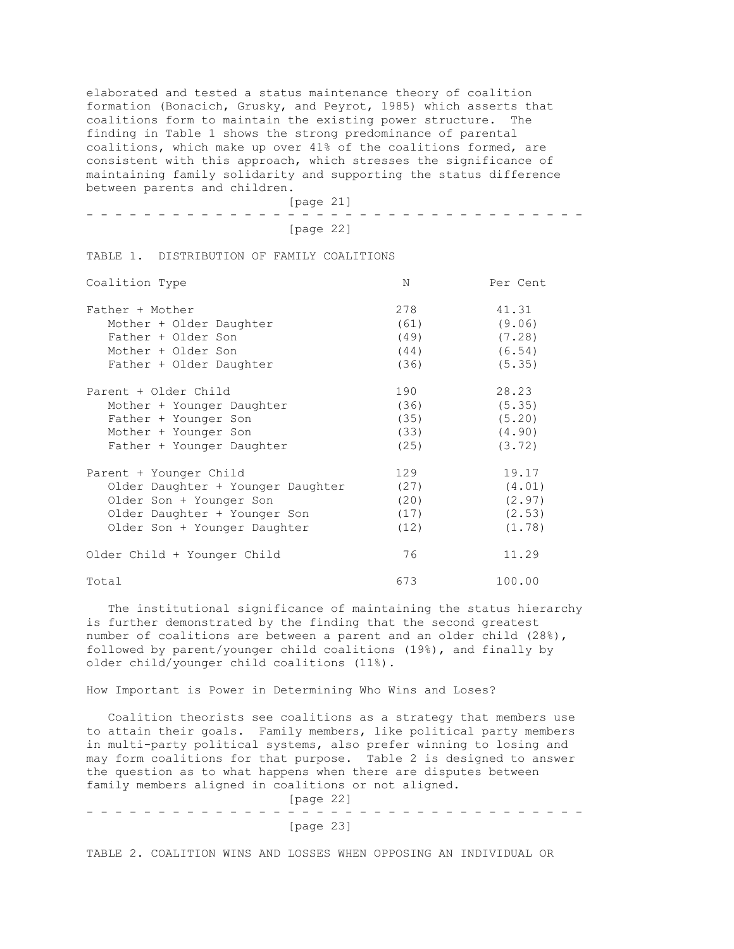elaborated and tested a status maintenance theory of coalition formation (Bonacich, Grusky, and Peyrot, 1985) which asserts that coalitions form to maintain the existing power structure. The finding in Table 1 shows the strong predominance of parental coalitions, which make up over 41% of the coalitions formed, are consistent with this approach, which stresses the significance of maintaining family solidarity and supporting the status difference between parents and children.

|  |  |  |  |  |  |  | [page 21] |  |  |  |  |  |  |  |  |  |
|--|--|--|--|--|--|--|-----------|--|--|--|--|--|--|--|--|--|
|  |  |  |  |  |  |  |           |  |  |  |  |  |  |  |  |  |
|  |  |  |  |  |  |  | [page 22] |  |  |  |  |  |  |  |  |  |

TABLE 1. DISTRIBUTION OF FAMILY COALITIONS

| Coalition Type                    | N    | Per Cent |
|-----------------------------------|------|----------|
| Father + Mother                   | 278  | 41.31    |
| Mother + Older Daughter           | (61) | (9.06)   |
| Father + Older Son                | (49) | (7.28)   |
| Mother + Older Son                | (44) | (6.54)   |
| Father + Older Daughter           | (36) | (5.35)   |
| Parent + Older Child              | 190  | 28.23    |
| Mother + Younger Daughter         | (36) | (5.35)   |
| Father + Younger Son              | (35) | (5.20)   |
| Mother + Younger Son              | (33) | (4.90)   |
| Father + Younger Daughter         | (25) | (3.72)   |
| Parent + Younger Child            | 129  | 19.17    |
| Older Daughter + Younger Daughter | (27) | (4.01)   |
| Older Son + Younger Son           | (20) | (2.97)   |
| Older Daughter + Younger Son      | (17) | (2.53)   |
| Older Son + Younger Daughter      | (12) | (1.78)   |
| Older Child + Younger Child       | 76   | 11.29    |
| Total                             | 673  | 100.00   |

 The institutional significance of maintaining the status hierarchy is further demonstrated by the finding that the second greatest number of coalitions are between a parent and an older child (28%), followed by parent/younger child coalitions (19%), and finally by older child/younger child coalitions (11%).

How Important is Power in Determining Who Wins and Loses?

 Coalition theorists see coalitions as a strategy that members use to attain their goals. Family members, like political party members in multi-party political systems, also prefer winning to losing and may form coalitions for that purpose. Table 2 is designed to answer the question as to what happens when there are disputes between family members aligned in coalitions or not aligned. [page 22]

- - - - - - - - - - - - - - - - - - - - - - - - - - - - - - - - - - - [page 23]

TABLE 2. COALITION WINS AND LOSSES WHEN OPPOSING AN INDIVIDUAL OR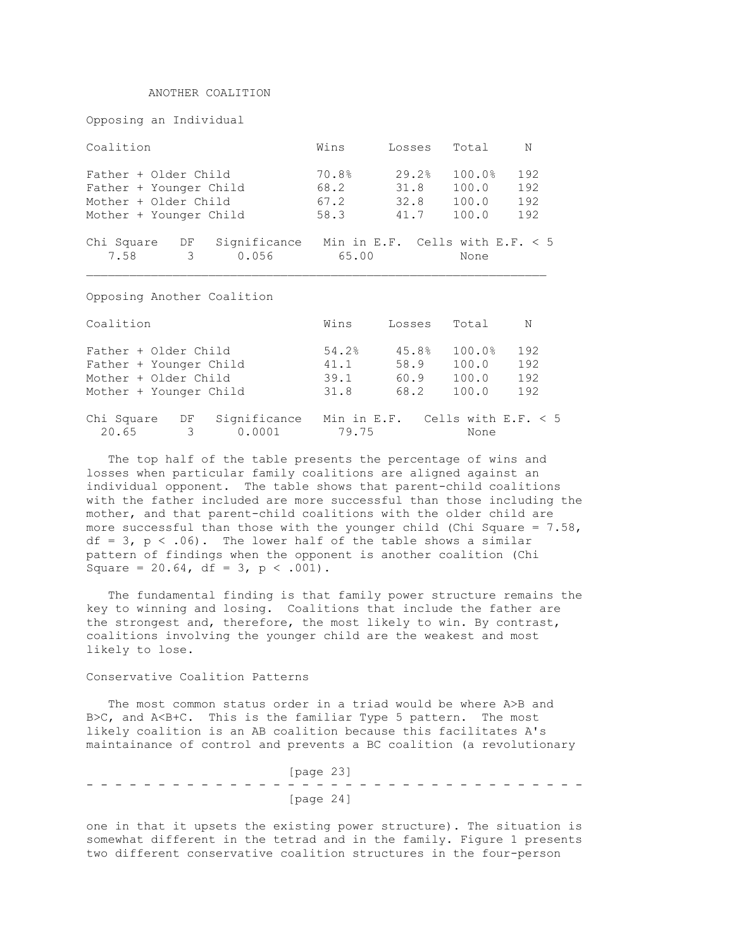## ANOTHER COALITION

Opposing an Individual

Coalition Wins Losses Total N Father + Older Child 70.8% 29.2% 100.0% 192<br>
Father + Younger Child 68.2 31.8 100.0 192<br>
Mother + Older Child 67.2 32.8 100.0 192 Father + Older Child<br>
Father + Younger Child<br>
Mother + Older Child<br>
67.2<br>
32.8<br>
100.0<br>
192 Mother + Older Child  $67.2$  32.8 100.0 192<br>Mother + Younger Child 58.3 41.7 100.0 192 Mother + Younger Child Chi Square DF Significance Min in E.F. Cells with E.F. < 5 7.58 3 0.056 65.00 None

Opposing Another Coalition

| Coalition                        |              | Wins  | Losses                            | Total  | N   |
|----------------------------------|--------------|-------|-----------------------------------|--------|-----|
| Father + Older Child             |              | 54.2% | 45.8%                             | 100.0% | 192 |
| Father + Younger Child           |              | 41.1  | 58.9                              | 100.0  | 192 |
| Mother + Older Child             |              | 39.1  | 60.9                              | 100.0  | 192 |
| Mother + Younger Child           |              | 31.8  | 68.2                              | 100.0  | 192 |
| Chi Square<br>DF                 | Significance |       | Min in E.F. Cells with E.F. $<$ 5 |        |     |
| 20.65<br>$\overline{\mathbf{3}}$ | 0.0001       | 79.75 |                                   | None   |     |

The top half of the table presents the percentage of wins and losses when particular family coalitions are aligned against an individual opponent. The table shows that parent-child coalitions with the father included are more successful than those including the mother, and that parent-child coalitions with the older child are more successful than those with the younger child (Chi Square =  $7.58$ ,  $df = 3$ ,  $p < .06$ ). The lower half of the table shows a similar pattern of findings when the opponent is another coalition (Chi Square =  $20.64$ , df =  $3$ , p < .001).

 The fundamental finding is that family power structure remains the key to winning and losing. Coalitions that include the father are the strongest and, therefore, the most likely to win. By contrast, coalitions involving the younger child are the weakest and most likely to lose.

#### Conservative Coalition Patterns

 The most common status order in a triad would be where A>B and B>C, and A<B+C. This is the familiar Type 5 pattern. The most likely coalition is an AB coalition because this facilitates A's maintainance of control and prevents a BC coalition (a revolutionary

 [page 23] - - - - - - - - - - - - - - - - - - - - - - - - - - - - - - - - - - - [page 24]

one in that it upsets the existing power structure). The situation is somewhat different in the tetrad and in the family. Figure 1 presents two different conservative coalition structures in the four-person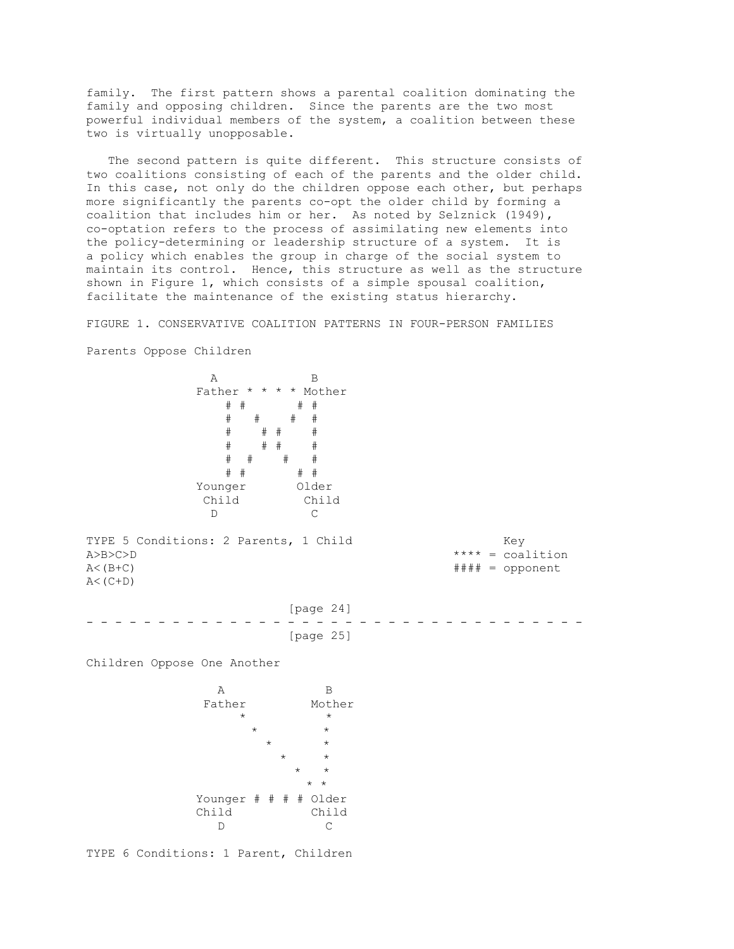family. The first pattern shows a parental coalition dominating the family and opposing children. Since the parents are the two most powerful individual members of the system, a coalition between these two is virtually unopposable.

 The second pattern is quite different. This structure consists of two coalitions consisting of each of the parents and the older child. In this case, not only do the children oppose each other, but perhaps more significantly the parents co-opt the older child by forming a coalition that includes him or her. As noted by Selznick (1949), co-optation refers to the process of assimilating new elements into the policy-determining or leadership structure of a system. It is a policy which enables the group in charge of the social system to maintain its control. Hence, this structure as well as the structure shown in Figure 1, which consists of a simple spousal coalition, facilitate the maintenance of the existing status hierarchy.

FIGURE 1. CONSERVATIVE COALITION PATTERNS IN FOUR-PERSON FAMILIES Parents Oppose Children

 A B Father \* \* \* \* Mother # # # # # # # # # # # # # # # # # # # # # # # # Younger Older Child Child D C TYPE 5 Conditions: 2 Parents, 1 Child Key A>B>C>D \*\*\*\* = coalition A<(B+C) #### = opponent  $A < (C+D)$  [page 24] - - - - - - - - - - - - - - - - - - - - - - - - - - - - - - - - - - - [page 25] Children Oppose One Another A B Father Mother  $\star$  \* \*  $\star$   $\qquad$   $\star$  $\star$   $\star$  $\star$   $\star$  $\star$   $\star$ \* \* Younger # # # # Older Child Child D C

TYPE 6 Conditions: 1 Parent, Children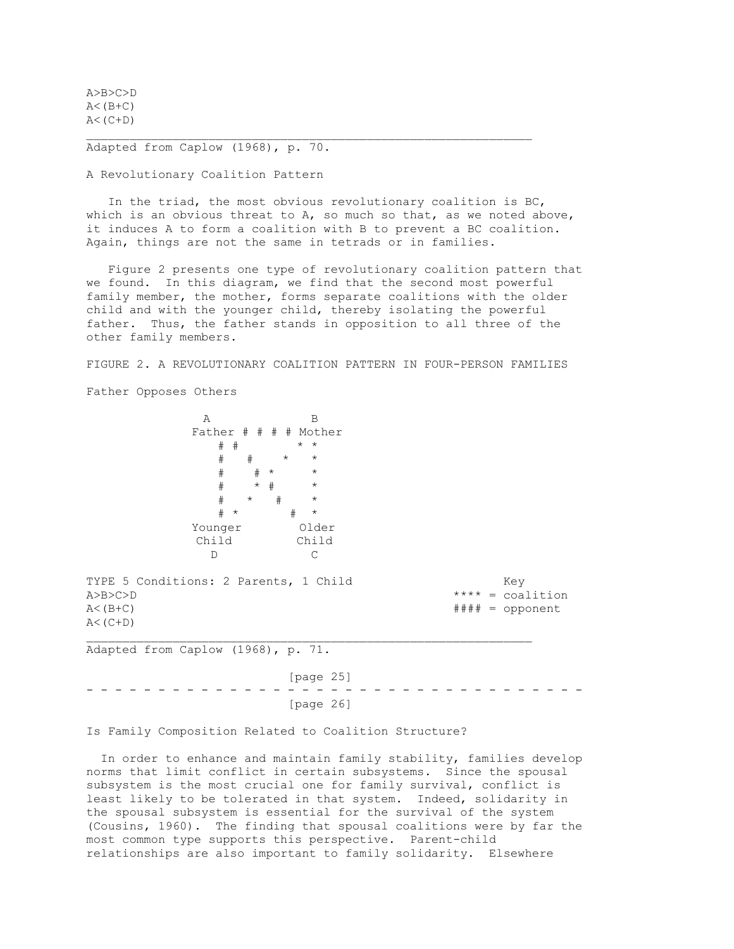A>B>C>D  $A < (B + C)$  $A < (C+D)$ 

Adapted from Caplow (1968), p. 70.

A Revolutionary Coalition Pattern

 In the triad, the most obvious revolutionary coalition is BC, which is an obvious threat to  $A$ , so much so that, as we noted above, it induces A to form a coalition with B to prevent a BC coalition. Again, things are not the same in tetrads or in families.

 Figure 2 presents one type of revolutionary coalition pattern that we found. In this diagram, we find that the second most powerful family member, the mother, forms separate coalitions with the older child and with the younger child, thereby isolating the powerful father. Thus, the father stands in opposition to all three of the other family members.

FIGURE 2. A REVOLUTIONARY COALITION PATTERN IN FOUR-PERSON FAMILIES

Father Opposes Others

A B Father # # # # Mother # # \* \*  $#$   $#$  # # \* \* # \* # \*  $\#$  \*  $\#$  \* # \* # \* Younger Older Child Child D C

TYPE 5 Conditions: 2 Parents, 1 Child Key A>B>C>D \*\*\*\* = coalition A<(B+C) #### = opponent  $A < (C+D)$ 

Adapted from Caplow (1968), p. 71.

 [page 25] - - - - - - - - - - - - - - - - - - - - - - - - - - - - - - - - - - - [page 26]

Is Family Composition Related to Coalition Structure?

 In order to enhance and maintain family stability, families develop norms that limit conflict in certain subsystems. Since the spousal subsystem is the most crucial one for family survival, conflict is least likely to be tolerated in that system. Indeed, solidarity in the spousal subsystem is essential for the survival of the system (Cousins, 1960). The finding that spousal coalitions were by far the most common type supports this perspective. Parent-child relationships are also important to family solidarity. Elsewhere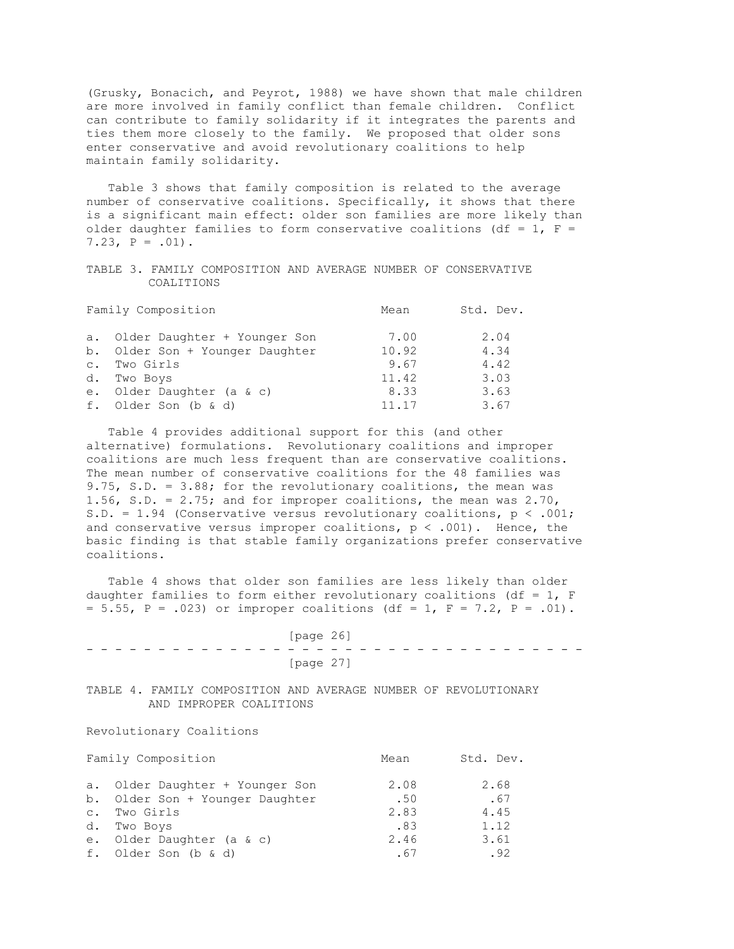(Grusky, Bonacich, and Peyrot, 1988) we have shown that male children are more involved in family conflict than female children. Conflict can contribute to family solidarity if it integrates the parents and ties them more closely to the family. We proposed that older sons enter conservative and avoid revolutionary coalitions to help maintain family solidarity.

 Table 3 shows that family composition is related to the average number of conservative coalitions. Specifically, it shows that there is a significant main effect: older son families are more likely than older daughter families to form conservative coalitions (df = 1,  $F =$  $7.23$ ,  $P = .01$ ).

TABLE 3. FAMILY COMPOSITION AND AVERAGE NUMBER OF CONSERVATIVE COALITIONS

|           | Family Composition              | Mean  | Std. Dev. |
|-----------|---------------------------------|-------|-----------|
|           | a. Older Daughter + Younger Son | 7.00  | 2.04      |
|           | b. Older Son + Younger Daughter | 10.92 | 4.34      |
| $\circ$ . | Two Girls                       | 9.67  | 4.42      |
| d.        | Two Boys                        | 11.42 | 3.03      |
| $e$ .     | Older Daughter (a & c)          | 8.33  | 3.63      |
|           | f. Older Son (b & d)            | 11.17 | 3.67      |

 Table 4 provides additional support for this (and other alternative) formulations. Revolutionary coalitions and improper coalitions are much less frequent than are conservative coalitions. The mean number of conservative coalitions for the 48 families was 9.75, S.D. = 3.88; for the revolutionary coalitions, the mean was 1.56, S.D. = 2.75; and for improper coalitions, the mean was 2.70, S.D. = 1.94 (Conservative versus revolutionary coalitions, p < .001; and conservative versus improper coalitions,  $p < .001$ ). Hence, the basic finding is that stable family organizations prefer conservative coalitions.

 Table 4 shows that older son families are less likely than older daughter families to form either revolutionary coalitions (df =  $1$ , F  $= 5.55$ ,  $P = .023$ ) or improper coalitions (df = 1,  $F = 7.2$ ,  $P = .01$ ).

 [page 26] - - - - - - - - - - - - - - - - - - - - - - - - - - - - - - - - - - - [page 27]

TABLE 4. FAMILY COMPOSITION AND AVERAGE NUMBER OF REVOLUTIONARY AND IMPROPER COALITIONS

Revolutionary Coalitions

|           | Family Composition              | Mean | Std. Dev. |
|-----------|---------------------------------|------|-----------|
|           | a. Older Daughter + Younger Son | 2.08 | 2.68      |
|           | b. Older Son + Younger Daughter | .50  | .67       |
| $\circ$ . | Two Girls                       | 2.83 | 4.45      |
|           | d. Two Boys                     | .83  | 1.12      |
|           | e. Older Daughter (a & c)       | 2.46 | 3.61      |
|           | f. Older Son (b & d)            | .67  | .92       |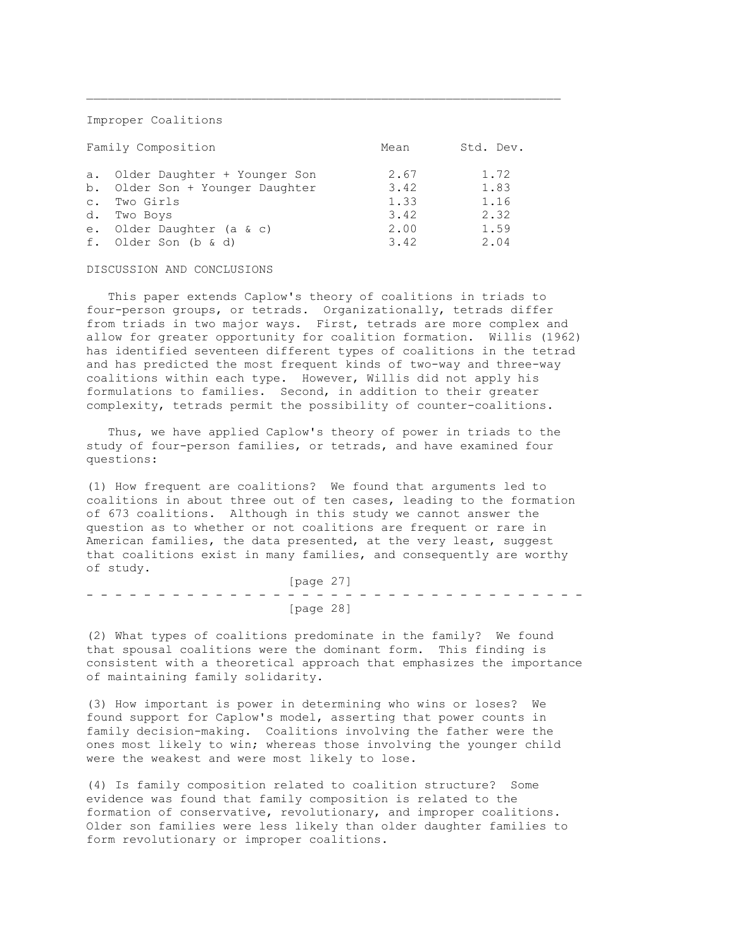Improper Coalitions

|                | Family Composition              | Mean | Std. Dev. |
|----------------|---------------------------------|------|-----------|
| а.             | Older Daughter + Younger Son    | 2.67 | 1.72      |
|                | b. Older Son + Younger Daughter | 3.42 | 1.83      |
| $\mathsf{C}$ . | Two Girls                       | 1.33 | 1.16      |
| d.             | Two Boys                        | 3.42 | 2.32      |
| $e$ .          | Older Daughter (a & c)          | 2.00 | 1.59      |
|                | f. Older Son (b & d)            | 3.42 | 2.04      |

## DISCUSSION AND CONCLUSIONS

 This paper extends Caplow's theory of coalitions in triads to four-person groups, or tetrads. Organizationally, tetrads differ from triads in two major ways. First, tetrads are more complex and allow for greater opportunity for coalition formation. Willis (1962) has identified seventeen different types of coalitions in the tetrad and has predicted the most frequent kinds of two-way and three-way coalitions within each type. However, Willis did not apply his formulations to families. Second, in addition to their greater complexity, tetrads permit the possibility of counter-coalitions.

 Thus, we have applied Caplow's theory of power in triads to the study of four-person families, or tetrads, and have examined four questions:

(1) How frequent are coalitions? We found that arguments led to coalitions in about three out of ten cases, leading to the formation of 673 coalitions. Although in this study we cannot answer the question as to whether or not coalitions are frequent or rare in American families, the data presented, at the very least, suggest that coalitions exist in many families, and consequently are worthy of study.

 [page 27] - - - - - - - - - - - - - - - - - - - - - - - - - - - - - - - - - - - [page 28]

(2) What types of coalitions predominate in the family? We found that spousal coalitions were the dominant form. This finding is consistent with a theoretical approach that emphasizes the importance of maintaining family solidarity.

(3) How important is power in determining who wins or loses? We found support for Caplow's model, asserting that power counts in family decision-making. Coalitions involving the father were the ones most likely to win; whereas those involving the younger child were the weakest and were most likely to lose.

(4) Is family composition related to coalition structure? Some evidence was found that family composition is related to the formation of conservative, revolutionary, and improper coalitions. Older son families were less likely than older daughter families to form revolutionary or improper coalitions.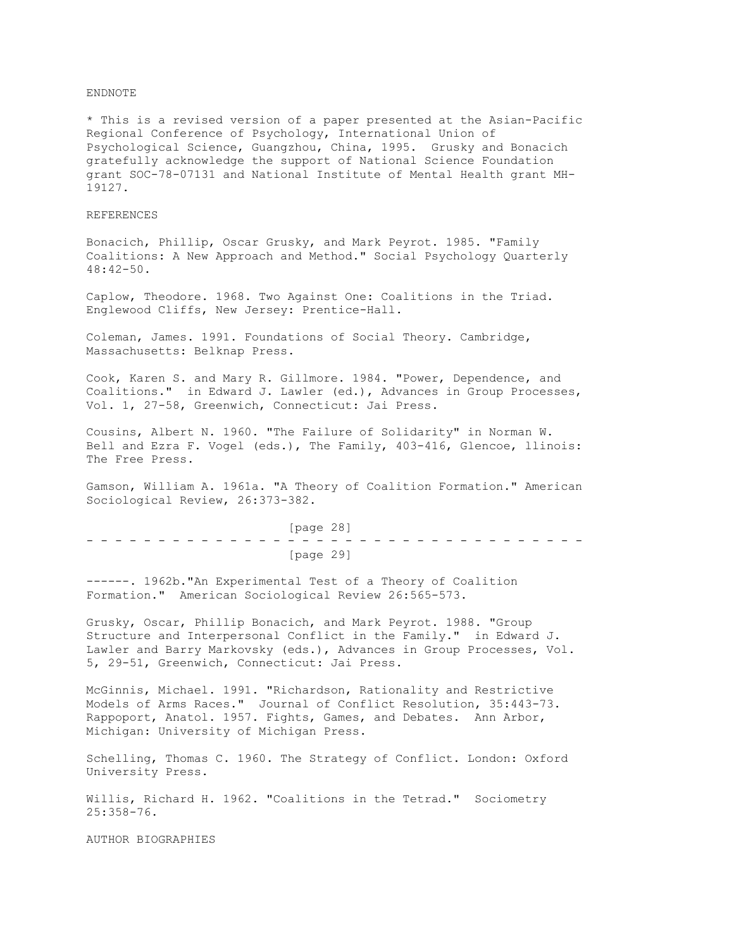## ENDNOTE

\* This is a revised version of a paper presented at the Asian-Pacific Regional Conference of Psychology, International Union of Psychological Science, Guangzhou, China, 1995. Grusky and Bonacich gratefully acknowledge the support of National Science Foundation grant SOC-78-07131 and National Institute of Mental Health grant MH-19127.

## REFERENCES

Bonacich, Phillip, Oscar Grusky, and Mark Peyrot. 1985. "Family Coalitions: A New Approach and Method." Social Psychology Quarterly 48:42-50.

Caplow, Theodore. 1968. Two Against One: Coalitions in the Triad. Englewood Cliffs, New Jersey: Prentice-Hall.

Coleman, James. 1991. Foundations of Social Theory. Cambridge, Massachusetts: Belknap Press.

Cook, Karen S. and Mary R. Gillmore. 1984. "Power, Dependence, and Coalitions." in Edward J. Lawler (ed.), Advances in Group Processes, Vol. 1, 27-58, Greenwich, Connecticut: Jai Press.

Cousins, Albert N. 1960. "The Failure of Solidarity" in Norman W. Bell and Ezra F. Vogel (eds.), The Family, 403-416, Glencoe, llinois: The Free Press.

Gamson, William A. 1961a. "A Theory of Coalition Formation." American Sociological Review, 26:373-382.

 [page 28] - - - - - - - - - - - - - - - - - - - - - - - - - - - - - - - - - - - [page 29]

------. 1962b."An Experimental Test of a Theory of Coalition Formation." American Sociological Review 26:565-573.

Grusky, Oscar, Phillip Bonacich, and Mark Peyrot. 1988. "Group Structure and Interpersonal Conflict in the Family." in Edward J. Lawler and Barry Markovsky (eds.), Advances in Group Processes, Vol. 5, 29-51, Greenwich, Connecticut: Jai Press.

McGinnis, Michael. 1991. "Richardson, Rationality and Restrictive Models of Arms Races." Journal of Conflict Resolution, 35:443-73. Rappoport, Anatol. 1957. Fights, Games, and Debates. Ann Arbor, Michigan: University of Michigan Press.

Schelling, Thomas C. 1960. The Strategy of Conflict. London: Oxford University Press.

Willis, Richard H. 1962. "Coalitions in the Tetrad." Sociometry 25:358-76.

AUTHOR BIOGRAPHIES